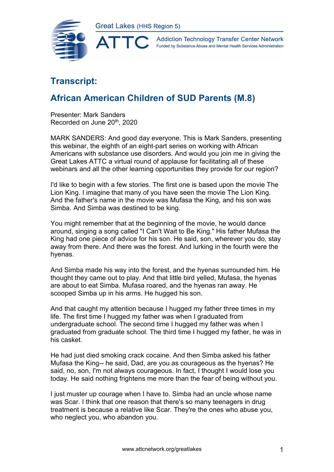

**Addiction Technology Transfer Center Network** Funded by Substance Abuse and Mental Health Services Administration

## **Transcript:**

## **African American Children of SUD Parents (M.8)**

Presenter: Mark Sanders Recorded on June 20th, 2020

MARK SANDERS: And good day everyone. This is Mark Sanders, presenting this webinar, the eighth of an eight-part series on working with African Americans with substance use disorders. And would you join me in giving the Great Lakes ATTC a virtual round of applause for facilitating all of these webinars and all the other learning opportunities they provide for our region?

I'd like to begin with a few stories. The first one is based upon the movie The Lion King. I imagine that many of you have seen the movie The Lion King. And the father's name in the movie was Mufasa the King, and his son was Simba. And Simba was destined to be king.

You might remember that at the beginning of the movie, he would dance around, singing a song called "I Can't Wait to Be King." His father Mufasa the King had one piece of advice for his son. He said, son, wherever you do, stay away from there. And there was the forest. And lurking in the fourth were the hyenas.

And Simba made his way into the forest, and the hyenas surrounded him. He thought they came out to play. And that little bird yelled, Mufasa, the hyenas are about to eat Simba. Mufasa roared, and the hyenas ran away. He scooped Simba up in his arms. He hugged his son.

And that caught my attention because I hugged my father three times in my life. The first time I hugged my father was when I graduated from undergraduate school. The second time I hugged my father was when I graduated from graduate school. The third time I hugged my father, he was in his casket.

He had just died smoking crack cocaine. And then Simba asked his father Mufasa the King-- he said, Dad, are you as courageous as the hyenas? He said, no, son, I'm not always courageous. In fact, I thought I would lose you today. He said nothing frightens me more than the fear of being without you.

I just muster up courage when I have to. Simba had an uncle whose name was Scar. I think that one reason that there's so many teenagers in drug treatment is because a relative like Scar. They're the ones who abuse you, who neglect you, who abandon you.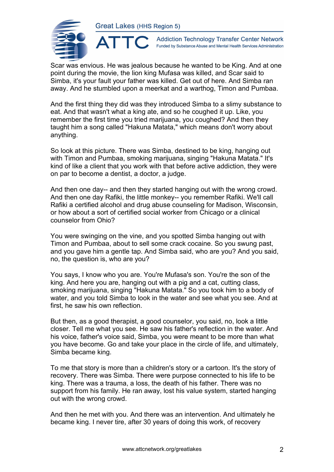

**Addiction Technology Transfer Center Network** Funded by Substance Abuse and Mental Health Services Administration

Scar was envious. He was jealous because he wanted to be King. And at one point during the movie, the lion king Mufasa was killed, and Scar said to Simba, it's your fault your father was killed. Get out of here. And Simba ran away. And he stumbled upon a meerkat and a warthog, Timon and Pumbaa.

And the first thing they did was they introduced Simba to a slimy substance to eat. And that wasn't what a king ate, and so he coughed it up. Like, you remember the first time you tried marijuana, you coughed? And then they taught him a song called "Hakuna Matata," which means don't worry about anything.

So look at this picture. There was Simba, destined to be king, hanging out with Timon and Pumbaa, smoking marijuana, singing "Hakuna Matata." It's kind of like a client that you work with that before active addiction, they were on par to become a dentist, a doctor, a judge.

And then one day-- and then they started hanging out with the wrong crowd. And then one day Rafiki, the little monkey-- you remember Rafiki. We'll call Rafiki a certified alcohol and drug abuse counseling for Madison, Wisconsin, or how about a sort of certified social worker from Chicago or a clinical counselor from Ohio?

You were swinging on the vine, and you spotted Simba hanging out with Timon and Pumbaa, about to sell some crack cocaine. So you swung past, and you gave him a gentle tap. And Simba said, who are you? And you said, no, the question is, who are you?

You says, I know who you are. You're Mufasa's son. You're the son of the king. And here you are, hanging out with a pig and a cat, cutting class, smoking marijuana, singing "Hakuna Matata." So you took him to a body of water, and you told Simba to look in the water and see what you see. And at first, he saw his own reflection.

But then, as a good therapist, a good counselor, you said, no, look a little closer. Tell me what you see. He saw his father's reflection in the water. And his voice, father's voice said, Simba, you were meant to be more than what you have become. Go and take your place in the circle of life, and ultimately, Simba became king.

To me that story is more than a children's story or a cartoon. It's the story of recovery. There was Simba. There were purpose connected to his life to be king. There was a trauma, a loss, the death of his father. There was no support from his family. He ran away, lost his value system, started hanging out with the wrong crowd.

And then he met with you. And there was an intervention. And ultimately he became king. I never tire, after 30 years of doing this work, of recovery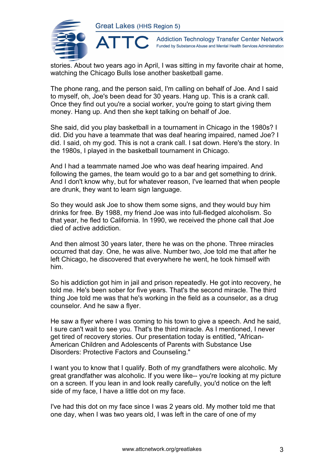

**Addiction Technology Transfer Center Network** Funded by Substance Abuse and Mental Health Services Administration

stories. About two years ago in April, I was sitting in my favorite chair at home, watching the Chicago Bulls lose another basketball game.

The phone rang, and the person said, I'm calling on behalf of Joe. And I said to myself, oh, Joe's been dead for 30 years. Hang up. This is a crank call. Once they find out you're a social worker, you're going to start giving them money. Hang up. And then she kept talking on behalf of Joe.

She said, did you play basketball in a tournament in Chicago in the 1980s? I did. Did you have a teammate that was deaf hearing impaired, named Joe? I did. I said, oh my god. This is not a crank call. I sat down. Here's the story. In the 1980s, I played in the basketball tournament in Chicago.

And I had a teammate named Joe who was deaf hearing impaired. And following the games, the team would go to a bar and get something to drink. And I don't know why, but for whatever reason, I've learned that when people are drunk, they want to learn sign language.

So they would ask Joe to show them some signs, and they would buy him drinks for free. By 1988, my friend Joe was into full-fledged alcoholism. So that year, he fled to California. In 1990, we received the phone call that Joe died of active addiction.

And then almost 30 years later, there he was on the phone. Three miracles occurred that day. One, he was alive. Number two, Joe told me that after he left Chicago, he discovered that everywhere he went, he took himself with him.

So his addiction got him in jail and prison repeatedly. He got into recovery, he told me. He's been sober for five years. That's the second miracle. The third thing Joe told me was that he's working in the field as a counselor, as a drug counselor. And he saw a flyer.

He saw a flyer where I was coming to his town to give a speech. And he said, I sure can't wait to see you. That's the third miracle. As I mentioned, I never get tired of recovery stories. Our presentation today is entitled, "African-American Children and Adolescents of Parents with Substance Use Disorders: Protective Factors and Counseling."

I want you to know that I qualify. Both of my grandfathers were alcoholic. My great grandfather was alcoholic. If you were like-- you're looking at my picture on a screen. If you lean in and look really carefully, you'd notice on the left side of my face, I have a little dot on my face.

I've had this dot on my face since I was 2 years old. My mother told me that one day, when I was two years old, I was left in the care of one of my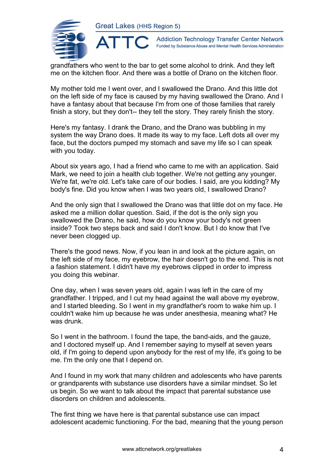

**Addiction Technology Transfer Center Network** Funded by Substance Abuse and Mental Health Services Administration

grandfathers who went to the bar to get some alcohol to drink. And they left me on the kitchen floor. And there was a bottle of Drano on the kitchen floor.

My mother told me I went over, and I swallowed the Drano. And this little dot on the left side of my face is caused by my having swallowed the Drano. And I have a fantasy about that because I'm from one of those families that rarely finish a story, but they don't-- they tell the story. They rarely finish the story.

Here's my fantasy. I drank the Drano, and the Drano was bubbling in my system the way Drano does. It made its way to my face. Left dots all over my face, but the doctors pumped my stomach and save my life so I can speak with you today.

About six years ago, I had a friend who came to me with an application. Said Mark, we need to join a health club together. We're not getting any younger. We're fat, we're old. Let's take care of our bodies. I said, are you kidding? My body's fine. Did you know when I was two years old, I swallowed Drano?

And the only sign that I swallowed the Drano was that little dot on my face. He asked me a million dollar question. Said, if the dot is the only sign you swallowed the Drano, he said, how do you know your body's not green inside? Took two steps back and said I don't know. But I do know that I've never been clogged up.

There's the good news. Now, if you lean in and look at the picture again, on the left side of my face, my eyebrow, the hair doesn't go to the end. This is not a fashion statement. I didn't have my eyebrows clipped in order to impress you doing this webinar.

One day, when I was seven years old, again I was left in the care of my grandfather. I tripped, and I cut my head against the wall above my eyebrow, and I started bleeding. So I went in my grandfather's room to wake him up. I couldn't wake him up because he was under anesthesia, meaning what? He was drunk.

So I went in the bathroom. I found the tape, the band-aids, and the gauze, and I doctored myself up. And I remember saying to myself at seven years old, if I'm going to depend upon anybody for the rest of my life, it's going to be me. I'm the only one that I depend on.

And I found in my work that many children and adolescents who have parents or grandparents with substance use disorders have a similar mindset. So let us begin. So we want to talk about the impact that parental substance use disorders on children and adolescents.

The first thing we have here is that parental substance use can impact adolescent academic functioning. For the bad, meaning that the young person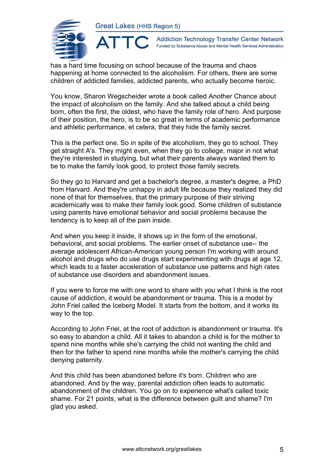**ATTO** 



**Addiction Technology Transfer Center Network** Funded by Substance Abuse and Mental Health Services Administration

has a hard time focusing on school because of the trauma and chaos happening at home connected to the alcoholism. For others, there are some children of addicted families, addicted parents, who actually become heroic.

You know, Sharon Wegscheider wrote a book called Another Chance about the impact of alcoholism on the family. And she talked about a child being born, often the first, the oldest, who have the family role of hero. And purpose of their position, the hero, is to be so great in terms of academic performance and athletic performance, et cetera, that they hide the family secret.

This is the perfect one. So in spite of the alcoholism, they go to school. They get straight A's. They might even, when they go to college, major in not what they're interested in studying, but what their parents always wanted them to be to make the family look good, to protect those family secrets.

So they go to Harvard and get a bachelor's degree, a master's degree, a PhD from Harvard. And they're unhappy in adult life because they realized they did none of that for themselves, that the primary purpose of their striving academically was to make their family look good. Some children of substance using parents have emotional behavior and social problems because the tendency is to keep all of the pain inside.

And when you keep it inside, it shows up in the form of the emotional, behavioral, and social problems. The earlier onset of substance use-- the average adolescent African-American young person I'm working with around alcohol and drugs who do use drugs start experimenting with drugs at age 12, which leads to a faster acceleration of substance use patterns and high rates of substance use disorders and abandonment issues.

If you were to force me with one word to share with you what I think is the root cause of addiction, it would be abandonment or trauma. This is a model by John Friel called the Iceberg Model. It starts from the bottom, and it works its way to the top.

According to John Friel, at the root of addiction is abandonment or trauma. It's so easy to abandon a child. All it takes to abandon a child is for the mother to spend nine months while she's carrying the child not wanting the child and then for the father to spend nine months while the mother's carrying the child denying paternity.

And this child has been abandoned before it's born. Children who are abandoned. And by the way, parental addiction often leads to automatic abandonment of the children. You go on to experience what's called toxic shame. For 21 points, what is the difference between guilt and shame? I'm glad you asked.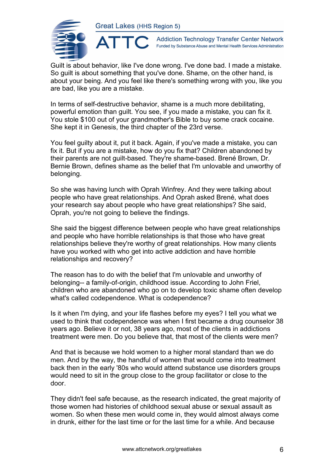

**Addiction Technology Transfer Center Network** Funded by Substance Abuse and Mental Health Services Administration

Guilt is about behavior, like I've done wrong. I've done bad. I made a mistake. So guilt is about something that you've done. Shame, on the other hand, is about your being. And you feel like there's something wrong with you, like you are bad, like you are a mistake.

In terms of self-destructive behavior, shame is a much more debilitating, powerful emotion than guilt. You see, if you made a mistake, you can fix it. You stole \$100 out of your grandmother's Bible to buy some crack cocaine. She kept it in Genesis, the third chapter of the 23rd verse.

You feel guilty about it, put it back. Again, if you've made a mistake, you can fix it. But if you are a mistake, how do you fix that? Children abandoned by their parents are not guilt-based. They're shame-based. Brené Brown, Dr. Bernie Brown, defines shame as the belief that I'm unlovable and unworthy of belonging.

So she was having lunch with Oprah Winfrey. And they were talking about people who have great relationships. And Oprah asked Brené, what does your research say about people who have great relationships? She said, Oprah, you're not going to believe the findings.

She said the biggest difference between people who have great relationships and people who have horrible relationships is that those who have great relationships believe they're worthy of great relationships. How many clients have you worked with who get into active addiction and have horrible relationships and recovery?

The reason has to do with the belief that I'm unlovable and unworthy of belonging-- a family-of-origin, childhood issue. According to John Friel, children who are abandoned who go on to develop toxic shame often develop what's called codependence. What is codependence?

Is it when I'm dying, and your life flashes before my eyes? I tell you what we used to think that codependence was when I first became a drug counselor 38 years ago. Believe it or not, 38 years ago, most of the clients in addictions treatment were men. Do you believe that, that most of the clients were men?

And that is because we hold women to a higher moral standard than we do men. And by the way, the handful of women that would come into treatment back then in the early '80s who would attend substance use disorders groups would need to sit in the group close to the group facilitator or close to the door.

They didn't feel safe because, as the research indicated, the great majority of those women had histories of childhood sexual abuse or sexual assault as women. So when these men would come in, they would almost always come in drunk, either for the last time or for the last time for a while. And because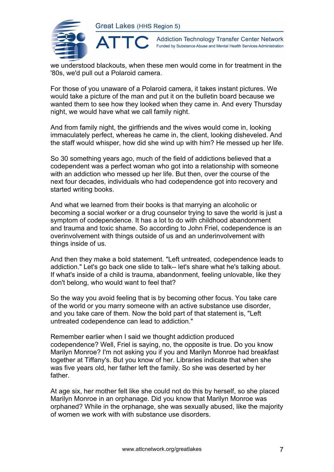

**Addiction Technology Transfer Center Network** Funded by Substance Abuse and Mental Health Services Administration

we understood blackouts, when these men would come in for treatment in the '80s, we'd pull out a Polaroid camera.

For those of you unaware of a Polaroid camera, it takes instant pictures. We would take a picture of the man and put it on the bulletin board because we wanted them to see how they looked when they came in. And every Thursday night, we would have what we call family night.

And from family night, the girlfriends and the wives would come in, looking immaculately perfect, whereas he came in, the client, looking disheveled. And the staff would whisper, how did she wind up with him? He messed up her life.

So 30 something years ago, much of the field of addictions believed that a codependent was a perfect woman who got into a relationship with someone with an addiction who messed up her life. But then, over the course of the next four decades, individuals who had codependence got into recovery and started writing books.

And what we learned from their books is that marrying an alcoholic or becoming a social worker or a drug counselor trying to save the world is just a symptom of codependence. It has a lot to do with childhood abandonment and trauma and toxic shame. So according to John Friel, codependence is an overinvolvement with things outside of us and an underinvolvement with things inside of us.

And then they make a bold statement. "Left untreated, codependence leads to addiction." Let's go back one slide to talk-- let's share what he's talking about. If what's inside of a child is trauma, abandonment, feeling unlovable, like they don't belong, who would want to feel that?

So the way you avoid feeling that is by becoming other focus. You take care of the world or you marry someone with an active substance use disorder, and you take care of them. Now the bold part of that statement is, "Left untreated codependence can lead to addiction."

Remember earlier when I said we thought addiction produced codependence? Well, Friel is saying, no, the opposite is true. Do you know Marilyn Monroe? I'm not asking you if you and Marilyn Monroe had breakfast together at Tiffany's. But you know of her. Libraries indicate that when she was five years old, her father left the family. So she was deserted by her father.

At age six, her mother felt like she could not do this by herself, so she placed Marilyn Monroe in an orphanage. Did you know that Marilyn Monroe was orphaned? While in the orphanage, she was sexually abused, like the majority of women we work with with substance use disorders.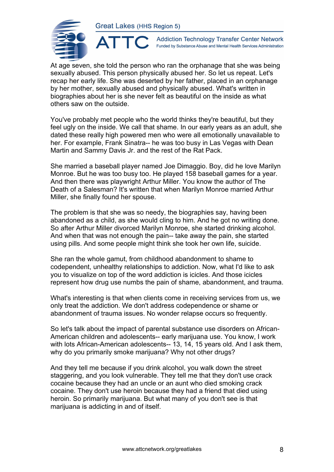ATTO



**Addiction Technology Transfer Center Network** Funded by Substance Abuse and Mental Health Services Administration

At age seven, she told the person who ran the orphanage that she was being sexually abused. This person physically abused her. So let us repeat. Let's recap her early life. She was deserted by her father, placed in an orphanage by her mother, sexually abused and physically abused. What's written in biographies about her is she never felt as beautiful on the inside as what others saw on the outside.

You've probably met people who the world thinks they're beautiful, but they feel ugly on the inside. We call that shame. In our early years as an adult, she dated these really high powered men who were all emotionally unavailable to her. For example, Frank Sinatra-- he was too busy in Las Vegas with Dean Martin and Sammy Davis Jr. and the rest of the Rat Pack.

She married a baseball player named Joe Dimaggio. Boy, did he love Marilyn Monroe. But he was too busy too. He played 158 baseball games for a year. And then there was playwright Arthur Miller. You know the author of The Death of a Salesman? It's written that when Marilyn Monroe married Arthur Miller, she finally found her spouse.

The problem is that she was so needy, the biographies say, having been abandoned as a child, as she would cling to him. And he got no writing done. So after Arthur Miller divorced Marilyn Monroe, she started drinking alcohol. And when that was not enough the pain-- take away the pain, she started using pills. And some people might think she took her own life, suicide.

She ran the whole gamut, from childhood abandonment to shame to codependent, unhealthy relationships to addiction. Now, what I'd like to ask you to visualize on top of the word addiction is icicles. And those icicles represent how drug use numbs the pain of shame, abandonment, and trauma.

What's interesting is that when clients come in receiving services from us, we only treat the addiction. We don't address codependence or shame or abandonment of trauma issues. No wonder relapse occurs so frequently.

So let's talk about the impact of parental substance use disorders on African-American children and adolescents-- early marijuana use. You know, I work with lots African-American adolescents-- 13, 14, 15 years old. And I ask them, why do you primarily smoke marijuana? Why not other drugs?

And they tell me because if you drink alcohol, you walk down the street staggering, and you look vulnerable. They tell me that they don't use crack cocaine because they had an uncle or an aunt who died smoking crack cocaine. They don't use heroin because they had a friend that died using heroin. So primarily marijuana. But what many of you don't see is that marijuana is addicting in and of itself.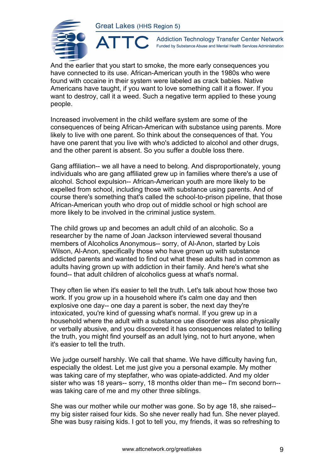

 $\blacktriangle^-$ 

**Addiction Technology Transfer Center Network** Funded by Substance Abuse and Mental Health Services Administration

And the earlier that you start to smoke, the more early consequences you have connected to its use. African-American youth in the 1980s who were found with cocaine in their system were labeled as crack babies. Native Americans have taught, if you want to love something call it a flower. If you want to destroy, call it a weed. Such a negative term applied to these young people.

Increased involvement in the child welfare system are some of the consequences of being African-American with substance using parents. More likely to live with one parent. So think about the consequences of that. You have one parent that you live with who's addicted to alcohol and other drugs, and the other parent is absent. So you suffer a double loss there.

Gang affiliation-- we all have a need to belong. And disproportionately, young individuals who are gang affiliated grew up in families where there's a use of alcohol. School expulsion-- African-American youth are more likely to be expelled from school, including those with substance using parents. And of course there's something that's called the school-to-prison pipeline, that those African-American youth who drop out of middle school or high school are more likely to be involved in the criminal justice system.

The child grows up and becomes an adult child of an alcoholic. So a researcher by the name of Joan Jackson interviewed several thousand members of Alcoholics Anonymous-- sorry, of Al-Anon, started by Lois Wilson, Al-Anon, specifically those who have grown up with substance addicted parents and wanted to find out what these adults had in common as adults having grown up with addiction in their family. And here's what she found-- that adult children of alcoholics guess at what's normal.

They often lie when it's easier to tell the truth. Let's talk about how those two work. If you grow up in a household where it's calm one day and then explosive one day-- one day a parent is sober, the next day they're intoxicated, you're kind of guessing what's normal. If you grew up in a household where the adult with a substance use disorder was also physically or verbally abusive, and you discovered it has consequences related to telling the truth, you might find yourself as an adult lying, not to hurt anyone, when it's easier to tell the truth.

We judge ourself harshly. We call that shame. We have difficulty having fun, especially the oldest. Let me just give you a personal example. My mother was taking care of my stepfather, who was opiate-addicted. And my older sister who was 18 years-- sorry, 18 months older than me-- I'm second born- was taking care of me and my other three siblings.

She was our mother while our mother was gone. So by age 18, she raised- my big sister raised four kids. So she never really had fun. She never played. She was busy raising kids. I got to tell you, my friends, it was so refreshing to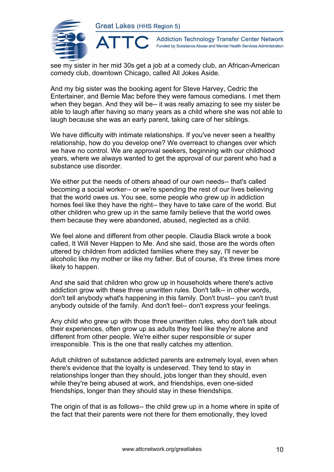

**Addiction Technology Transfer Center Network** Funded by Substance Abuse and Mental Health Services Administration

see my sister in her mid 30s get a job at a comedy club, an African-American comedy club, downtown Chicago, called All Jokes Aside.

And my big sister was the booking agent for Steve Harvey, Cedric the Entertainer, and Bernie Mac before they were famous comedians. I met them when they began. And they will be-- it was really amazing to see my sister be able to laugh after having so many years as a child where she was not able to laugh because she was an early parent, taking care of her siblings.

We have difficulty with intimate relationships. If you've never seen a healthy relationship, how do you develop one? We overreact to changes over which we have no control. We are approval seekers, beginning with our childhood years, where we always wanted to get the approval of our parent who had a substance use disorder.

We either put the needs of others ahead of our own needs-- that's called becoming a social worker-- or we're spending the rest of our lives believing that the world owes us. You see, some people who grew up in addiction homes feel like they have the right-- they have to take care of the world. But other children who grew up in the same family believe that the world owes them because they were abandoned, abused, neglected as a child.

We feel alone and different from other people. Claudia Black wrote a book called, It Will Never Happen to Me. And she said, those are the words often uttered by children from addicted families where they say, I'll never be alcoholic like my mother or like my father. But of course, it's three times more likely to happen.

And she said that children who grow up in households where there's active addiction grow with these three unwritten rules. Don't talk-- in other words, don't tell anybody what's happening in this family. Don't trust-- you can't trust anybody outside of the family. And don't feel-- don't express your feelings.

Any child who grew up with those three unwritten rules, who don't talk about their experiences, often grow up as adults they feel like they're alone and different from other people. We're either super responsible or super irresponsible. This is the one that really catches my attention.

Adult children of substance addicted parents are extremely loyal, even when there's evidence that the loyalty is undeserved. They tend to stay in relationships longer than they should, jobs longer than they should, even while they're being abused at work, and friendships, even one-sided friendships, longer than they should stay in these friendships.

The origin of that is as follows-- the child grew up in a home where in spite of the fact that their parents were not there for them emotionally, they loved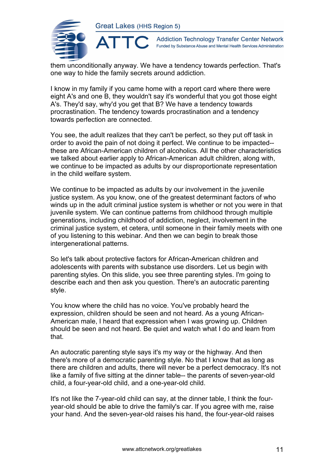

**Addiction Technology Transfer Center Network** Funded by Substance Abuse and Mental Health Services Administration

them unconditionally anyway. We have a tendency towards perfection. That's one way to hide the family secrets around addiction.

I know in my family if you came home with a report card where there were eight A's and one B, they wouldn't say it's wonderful that you got those eight A's. They'd say, why'd you get that B? We have a tendency towards procrastination. The tendency towards procrastination and a tendency towards perfection are connected.

You see, the adult realizes that they can't be perfect, so they put off task in order to avoid the pain of not doing it perfect. We continue to be impacted- these are African-American children of alcoholics. All the other characteristics we talked about earlier apply to African-American adult children, along with, we continue to be impacted as adults by our disproportionate representation in the child welfare system.

We continue to be impacted as adults by our involvement in the juvenile justice system. As you know, one of the greatest determinant factors of who winds up in the adult criminal justice system is whether or not you were in that juvenile system. We can continue patterns from childhood through multiple generations, including childhood of addiction, neglect, involvement in the criminal justice system, et cetera, until someone in their family meets with one of you listening to this webinar. And then we can begin to break those intergenerational patterns.

So let's talk about protective factors for African-American children and adolescents with parents with substance use disorders. Let us begin with parenting styles. On this slide, you see three parenting styles. I'm going to describe each and then ask you question. There's an autocratic parenting style.

You know where the child has no voice. You've probably heard the expression, children should be seen and not heard. As a young African-American male, I heard that expression when I was growing up. Children should be seen and not heard. Be quiet and watch what I do and learn from that.

An autocratic parenting style says it's my way or the highway. And then there's more of a democratic parenting style. No that I know that as long as there are children and adults, there will never be a perfect democracy. It's not like a family of five sitting at the dinner table-- the parents of seven-year-old child, a four-year-old child, and a one-year-old child.

It's not like the 7-year-old child can say, at the dinner table, I think the fouryear-old should be able to drive the family's car. If you agree with me, raise your hand. And the seven-year-old raises his hand, the four-year-old raises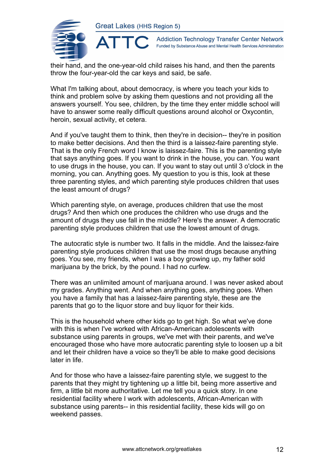

 $\blacktriangle$ 

**Addiction Technology Transfer Center Network** Funded by Substance Abuse and Mental Health Services Administration

their hand, and the one-year-old child raises his hand, and then the parents throw the four-year-old the car keys and said, be safe.

What I'm talking about, about democracy, is where you teach your kids to think and problem solve by asking them questions and not providing all the answers yourself. You see, children, by the time they enter middle school will have to answer some really difficult questions around alcohol or Oxycontin, heroin, sexual activity, et cetera.

And if you've taught them to think, then they're in decision-- they're in position to make better decisions. And then the third is a laissez-faire parenting style. That is the only French word I know is laissez-faire. This is the parenting style that says anything goes. If you want to drink in the house, you can. You want to use drugs in the house, you can. If you want to stay out until 3 o'clock in the morning, you can. Anything goes. My question to you is this, look at these three parenting styles, and which parenting style produces children that uses the least amount of drugs?

Which parenting style, on average, produces children that use the most drugs? And then which one produces the children who use drugs and the amount of drugs they use fall in the middle? Here's the answer. A democratic parenting style produces children that use the lowest amount of drugs.

The autocratic style is number two. It falls in the middle. And the laissez-faire parenting style produces children that use the most drugs because anything goes. You see, my friends, when I was a boy growing up, my father sold marijuana by the brick, by the pound. I had no curfew.

There was an unlimited amount of marijuana around. I was never asked about my grades. Anything went. And when anything goes, anything goes. When you have a family that has a laissez-faire parenting style, these are the parents that go to the liquor store and buy liquor for their kids.

This is the household where other kids go to get high. So what we've done with this is when I've worked with African-American adolescents with substance using parents in groups, we've met with their parents, and we've encouraged those who have more autocratic parenting style to loosen up a bit and let their children have a voice so they'll be able to make good decisions later in life.

And for those who have a laissez-faire parenting style, we suggest to the parents that they might try tightening up a little bit, being more assertive and firm, a little bit more authoritative. Let me tell you a quick story. In one residential facility where I work with adolescents, African-American with substance using parents-- in this residential facility, these kids will go on weekend passes.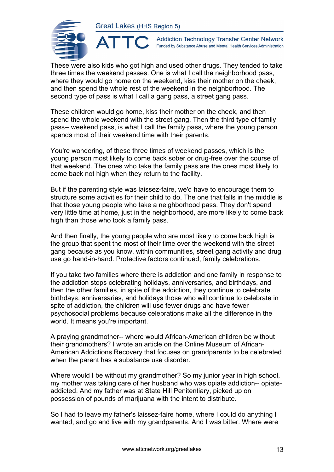

**Addiction Technology Transfer Center Network** Funded by Substance Abuse and Mental Health Services Administration

These were also kids who got high and used other drugs. They tended to take three times the weekend passes. One is what I call the neighborhood pass, where they would go home on the weekend, kiss their mother on the cheek, and then spend the whole rest of the weekend in the neighborhood. The second type of pass is what I call a gang pass, a street gang pass.

These children would go home, kiss their mother on the cheek, and then spend the whole weekend with the street gang. Then the third type of family pass-- weekend pass, is what I call the family pass, where the young person spends most of their weekend time with their parents.

You're wondering, of these three times of weekend passes, which is the young person most likely to come back sober or drug-free over the course of that weekend. The ones who take the family pass are the ones most likely to come back not high when they return to the facility.

But if the parenting style was laissez-faire, we'd have to encourage them to structure some activities for their child to do. The one that falls in the middle is that those young people who take a neighborhood pass. They don't spend very little time at home, just in the neighborhood, are more likely to come back high than those who took a family pass.

And then finally, the young people who are most likely to come back high is the group that spent the most of their time over the weekend with the street gang because as you know, within communities, street gang activity and drug use go hand-in-hand. Protective factors continued, family celebrations.

If you take two families where there is addiction and one family in response to the addiction stops celebrating holidays, anniversaries, and birthdays, and then the other families, in spite of the addiction, they continue to celebrate birthdays, anniversaries, and holidays those who will continue to celebrate in spite of addiction, the children will use fewer drugs and have fewer psychosocial problems because celebrations make all the difference in the world. It means you're important.

A praying grandmother-- where would African-American children be without their grandmothers? I wrote an article on the Online Museum of African-American Addictions Recovery that focuses on grandparents to be celebrated when the parent has a substance use disorder.

Where would I be without my grandmother? So my junior year in high school, my mother was taking care of her husband who was opiate addiction-- opiateaddicted. And my father was at State Hill Penitentiary, picked up on possession of pounds of marijuana with the intent to distribute.

So I had to leave my father's laissez-faire home, where I could do anything I wanted, and go and live with my grandparents. And I was bitter. Where were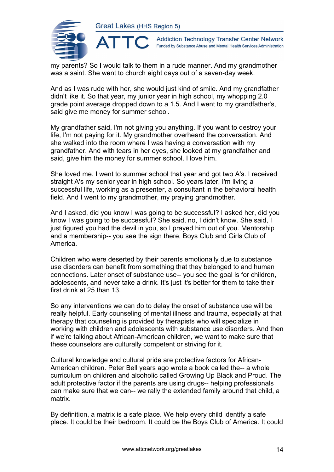

**Addiction Technology Transfer Center Network** Funded by Substance Abuse and Mental Health Services Administration

my parents? So I would talk to them in a rude manner. And my grandmother was a saint. She went to church eight days out of a seven-day week.

And as I was rude with her, she would just kind of smile. And my grandfather didn't like it. So that year, my junior year in high school, my whopping 2.0 grade point average dropped down to a 1.5. And I went to my grandfather's, said give me money for summer school.

My grandfather said, I'm not giving you anything. If you want to destroy your life, I'm not paying for it. My grandmother overheard the conversation. And she walked into the room where I was having a conversation with my grandfather. And with tears in her eyes, she looked at my grandfather and said, give him the money for summer school. I love him.

She loved me. I went to summer school that year and got two A's. I received straight A's my senior year in high school. So years later, I'm living a successful life, working as a presenter, a consultant in the behavioral health field. And I went to my grandmother, my praying grandmother.

And I asked, did you know I was going to be successful? I asked her, did you know I was going to be successful? She said, no, I didn't know. She said, I just figured you had the devil in you, so I prayed him out of you. Mentorship and a membership-- you see the sign there, Boys Club and Girls Club of America.

Children who were deserted by their parents emotionally due to substance use disorders can benefit from something that they belonged to and human connections. Later onset of substance use-- you see the goal is for children, adolescents, and never take a drink. It's just it's better for them to take their first drink at 25 than 13.

So any interventions we can do to delay the onset of substance use will be really helpful. Early counseling of mental illness and trauma, especially at that therapy that counseling is provided by therapists who will specialize in working with children and adolescents with substance use disorders. And then if we're talking about African-American children, we want to make sure that these counselors are culturally competent or striving for it.

Cultural knowledge and cultural pride are protective factors for African-American children. Peter Bell years ago wrote a book called the-- a whole curriculum on children and alcoholic called Growing Up Black and Proud. The adult protective factor if the parents are using drugs-- helping professionals can make sure that we can-- we rally the extended family around that child, a matrix.

By definition, a matrix is a safe place. We help every child identify a safe place. It could be their bedroom. It could be the Boys Club of America. It could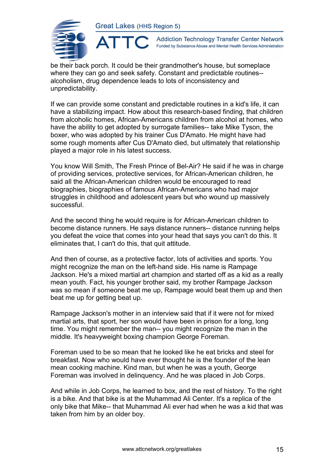ATTO



**Addiction Technology Transfer Center Network** Funded by Substance Abuse and Mental Health Services Administration

be their back porch. It could be their grandmother's house, but someplace where they can go and seek safety. Constant and predictable routines- alcoholism, drug dependence leads to lots of inconsistency and unpredictability.

If we can provide some constant and predictable routines in a kid's life, it can have a stabilizing impact. How about this research-based finding, that children from alcoholic homes, African-Americans children from alcohol at homes, who have the ability to get adopted by surrogate families-- take Mike Tyson, the boxer, who was adopted by his trainer Cus D'Amato. He might have had some rough moments after Cus D'Amato died, but ultimately that relationship played a major role in his latest success.

You know Will Smith, The Fresh Prince of Bel-Air? He said if he was in charge of providing services, protective services, for African-American children, he said all the African-American children would be encouraged to read biographies, biographies of famous African-Americans who had major struggles in childhood and adolescent years but who wound up massively successful.

And the second thing he would require is for African-American children to become distance runners. He says distance runners-- distance running helps you defeat the voice that comes into your head that says you can't do this. It eliminates that, I can't do this, that quit attitude.

And then of course, as a protective factor, lots of activities and sports. You might recognize the man on the left-hand side. His name is Rampage Jackson. He's a mixed martial art champion and started off as a kid as a really mean youth. Fact, his younger brother said, my brother Rampage Jackson was so mean if someone beat me up, Rampage would beat them up and then beat me up for getting beat up.

Rampage Jackson's mother in an interview said that if it were not for mixed martial arts, that sport, her son would have been in prison for a long, long time. You might remember the man-- you might recognize the man in the middle. It's heavyweight boxing champion George Foreman.

Foreman used to be so mean that he looked like he eat bricks and steel for breakfast. Now who would have ever thought he is the founder of the lean mean cooking machine. Kind man, but when he was a youth, George Foreman was involved in delinquency. And he was placed in Job Corps.

And while in Job Corps, he learned to box, and the rest of history. To the right is a bike. And that bike is at the Muhammad Ali Center. It's a replica of the only bike that Mike-- that Muhammad Ali ever had when he was a kid that was taken from him by an older boy.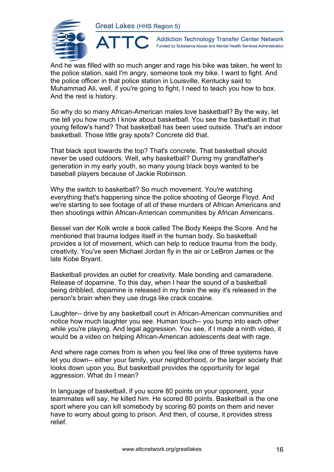

**Addiction Technology Transfer Center Network** Funded by Substance Abuse and Mental Health Services Administration

And he was filled with so much anger and rage his bike was taken, he went to the police station, said I'm angry, someone took my bike. I want to fight. And the police officer in that police station in Louisville, Kentucky said to Muhammad Ali, well, if you're going to fight, I need to teach you how to box. And the rest is history.

So why do so many African-American males love basketball? By the way, let me tell you how much I know about basketball. You see the basketball in that young fellow's hand? That basketball has been used outside. That's an indoor basketball. Those little gray spots? Concrete did that.

That black spot towards the top? That's concrete. That basketball should never be used outdoors. Well, why basketball? During my grandfather's generation in my early youth, so many young black boys wanted to be baseball players because of Jackie Robinson.

Why the switch to basketball? So much movement. You're watching everything that's happening since the police shooting of George Floyd. And we're starting to see footage of all of these murders of African Americans and then shootings within African-American communities by African Americans.

Bessel van der Kolk wrote a book called The Body Keeps the Score. And he mentioned that trauma lodges itself in the human body. So basketball provides a lot of movement, which can help to reduce trauma from the body, creativity. You've seen Michael Jordan fly in the air or LeBron James or the late Kobe Bryant.

Basketball provides an outlet for creativity. Male bonding and camaraderie. Release of dopamine. To this day, when I hear the sound of a basketball being dribbled, dopamine is released in my brain the way it's released in the person's brain when they use drugs like crack cocaine.

Laughter-- drive by any basketball court in African-American communities and notice how much laughter you see. Human touch-- you bump into each other while you're playing. And legal aggression. You see, if I made a ninth video, it would be a video on helping African-American adolescents deal with rage.

And where rage comes from is when you feel like one of three systems have let you down-- either your family, your neighborhood, or the larger society that looks down upon you. But basketball provides the opportunity for legal aggression. What do I mean?

In language of basketball, if you score 80 points on your opponent, your teammates will say, he killed him. He scored 80 points. Basketball is the one sport where you can kill somebody by scoring 80 points on them and never have to worry about going to prison. And then, of course, it provides stress relief.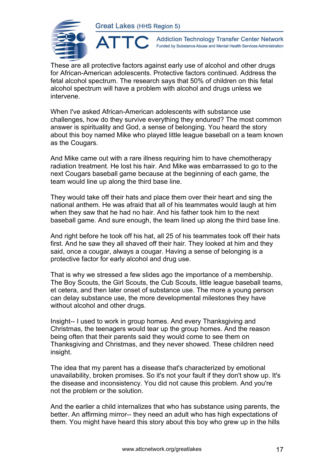

**Addiction Technology Transfer Center Network** Funded by Substance Abuse and Mental Health Services Administration

These are all protective factors against early use of alcohol and other drugs for African-American adolescents. Protective factors continued. Address the fetal alcohol spectrum. The research says that 50% of children on this fetal alcohol spectrum will have a problem with alcohol and drugs unless we intervene.

When I've asked African-American adolescents with substance use challenges, how do they survive everything they endured? The most common answer is spirituality and God, a sense of belonging. You heard the story about this boy named Mike who played little league baseball on a team known as the Cougars.

And Mike came out with a rare illness requiring him to have chemotherapy radiation treatment. He lost his hair. And Mike was embarrassed to go to the next Cougars baseball game because at the beginning of each game, the team would line up along the third base line.

They would take off their hats and place them over their heart and sing the national anthem. He was afraid that all of his teammates would laugh at him when they saw that he had no hair. And his father took him to the next baseball game. And sure enough, the team lined up along the third base line.

And right before he took off his hat, all 25 of his teammates took off their hats first. And he saw they all shaved off their hair. They looked at him and they said, once a cougar, always a cougar. Having a sense of belonging is a protective factor for early alcohol and drug use.

That is why we stressed a few slides ago the importance of a membership. The Boy Scouts, the Girl Scouts, the Cub Scouts, little league baseball teams, et cetera, and then later onset of substance use. The more a young person can delay substance use, the more developmental milestones they have without alcohol and other drugs.

Insight-- I used to work in group homes. And every Thanksgiving and Christmas, the teenagers would tear up the group homes. And the reason being often that their parents said they would come to see them on Thanksgiving and Christmas, and they never showed. These children need insight.

The idea that my parent has a disease that's characterized by emotional unavailability, broken promises. So it's not your fault if they don't show up. It's the disease and inconsistency. You did not cause this problem. And you're not the problem or the solution.

And the earlier a child internalizes that who has substance using parents, the better. An affirming mirror-- they need an adult who has high expectations of them. You might have heard this story about this boy who grew up in the hills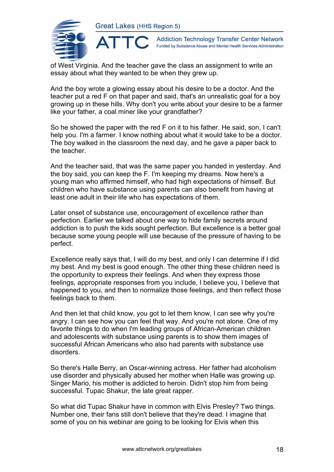

**Addiction Technology Transfer Center Network** Funded by Substance Abuse and Mental Health Services Administration

of West Virginia. And the teacher gave the class an assignment to write an essay about what they wanted to be when they grew up.

And the boy wrote a glowing essay about his desire to be a doctor. And the teacher put a red F on that paper and said, that's an unrealistic goal for a boy growing up in these hills. Why don't you write about your desire to be a farmer like your father, a coal miner like your grandfather?

So he showed the paper with the red F on it to his father. He said, son, I can't help you. I'm a farmer. I know nothing about what it would take to be a doctor. The boy walked in the classroom the next day, and he gave a paper back to the teacher.

And the teacher said, that was the same paper you handed in yesterday. And the boy said, you can keep the F. I'm keeping my dreams. Now here's a young man who affirmed himself, who had high expectations of himself. But children who have substance using parents can also benefit from having at least one adult in their life who has expectations of them.

Later onset of substance use, encouragement of excellence rather than perfection. Earlier we talked about one way to hide family secrets around addiction is to push the kids sought perfection. But excellence is a better goal because some young people will use because of the pressure of having to be perfect.

Excellence really says that, I will do my best, and only I can determine if I did my best. And my best is good enough. The other thing these children need is the opportunity to express their feelings. And when they express those feelings, appropriate responses from you include, I believe you, I believe that happened to you, and then to normalize those feelings, and then reflect those feelings back to them.

And then let that child know, you got to let them know, I can see why you're angry. I can see how you can feel that way. And you're not alone. One of my favorite things to do when I'm leading groups of African-American children and adolescents with substance using parents is to show them images of successful African Americans who also had parents with substance use disorders.

So there's Halle Berry, an Oscar-winning actress. Her father had alcoholism use disorder and physically abused her mother when Halle was growing up. Singer Mario, his mother is addicted to heroin. Didn't stop him from being successful. Tupac Shakur, the late great rapper.

So what did Tupac Shakur have in common with Elvis Presley? Two things. Number one, their fans still don't believe that they're dead. I imagine that some of you on his webinar are going to be looking for Elvis when this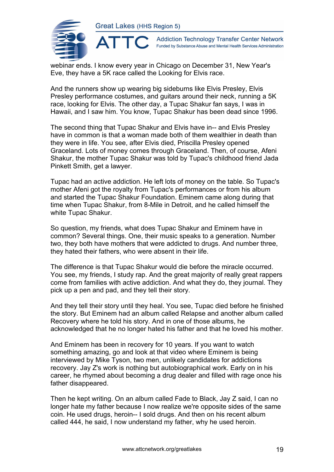ATT(



**Addiction Technology Transfer Center Network** Funded by Substance Abuse and Mental Health Services Administration

webinar ends. I know every year in Chicago on December 31, New Year's Eve, they have a 5K race called the Looking for Elvis race.

And the runners show up wearing big sideburns like Elvis Presley, Elvis Presley performance costumes, and guitars around their neck, running a 5K race, looking for Elvis. The other day, a Tupac Shakur fan says, I was in Hawaii, and I saw him. You know, Tupac Shakur has been dead since 1996.

The second thing that Tupac Shakur and Elvis have in-- and Elvis Presley have in common is that a woman made both of them wealthier in death than they were in life. You see, after Elvis died, Priscilla Presley opened Graceland. Lots of money comes through Graceland. Then, of course, Afeni Shakur, the mother Tupac Shakur was told by Tupac's childhood friend Jada Pinkett Smith, get a lawyer.

Tupac had an active addiction. He left lots of money on the table. So Tupac's mother Afeni got the royalty from Tupac's performances or from his album and started the Tupac Shakur Foundation. Eminem came along during that time when Tupac Shakur, from 8-Mile in Detroit, and he called himself the white Tupac Shakur.

So question, my friends, what does Tupac Shakur and Eminem have in common? Several things. One, their music speaks to a generation. Number two, they both have mothers that were addicted to drugs. And number three, they hated their fathers, who were absent in their life.

The difference is that Tupac Shakur would die before the miracle occurred. You see, my friends, I study rap. And the great majority of really great rappers come from families with active addiction. And what they do, they journal. They pick up a pen and pad, and they tell their story.

And they tell their story until they heal. You see, Tupac died before he finished the story. But Eminem had an album called Relapse and another album called Recovery where he told his story. And in one of those albums, he acknowledged that he no longer hated his father and that he loved his mother.

And Eminem has been in recovery for 10 years. If you want to watch something amazing, go and look at that video where Eminem is being interviewed by Mike Tyson, two men, unlikely candidates for addictions recovery. Jay Z's work is nothing but autobiographical work. Early on in his career, he rhymed about becoming a drug dealer and filled with rage once his father disappeared.

Then he kept writing. On an album called Fade to Black, Jay Z said, I can no longer hate my father because I now realize we're opposite sides of the same coin. He used drugs, heroin-- I sold drugs. And then on his recent album called 444, he said, I now understand my father, why he used heroin.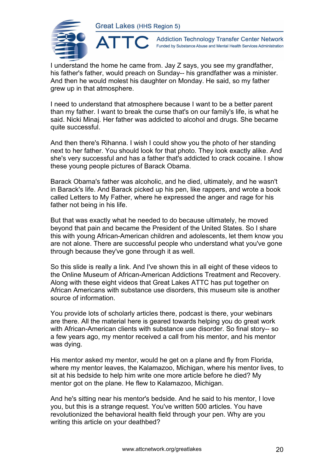

 $\blacktriangle$ 

**Addiction Technology Transfer Center Network** Funded by Substance Abuse and Mental Health Services Administration

I understand the home he came from. Jay Z says, you see my grandfather, his father's father, would preach on Sunday-- his grandfather was a minister. And then he would molest his daughter on Monday. He said, so my father grew up in that atmosphere.

I need to understand that atmosphere because I want to be a better parent than my father. I want to break the curse that's on our family's life, is what he said. Nicki Minaj. Her father was addicted to alcohol and drugs. She became quite successful.

And then there's Rihanna. I wish I could show you the photo of her standing next to her father. You should look for that photo. They look exactly alike. And she's very successful and has a father that's addicted to crack cocaine. I show these young people pictures of Barack Obama.

Barack Obama's father was alcoholic, and he died, ultimately, and he wasn't in Barack's life. And Barack picked up his pen, like rappers, and wrote a book called Letters to My Father, where he expressed the anger and rage for his father not being in his life.

But that was exactly what he needed to do because ultimately, he moved beyond that pain and became the President of the United States. So I share this with young African-American children and adolescents, let them know you are not alone. There are successful people who understand what you've gone through because they've gone through it as well.

So this slide is really a link. And I've shown this in all eight of these videos to the Online Museum of African-American Addictions Treatment and Recovery. Along with these eight videos that Great Lakes ATTC has put together on African Americans with substance use disorders, this museum site is another source of information.

You provide lots of scholarly articles there, podcast is there, your webinars are there. All the material here is geared towards helping you do great work with African-American clients with substance use disorder. So final story-- so a few years ago, my mentor received a call from his mentor, and his mentor was dying.

His mentor asked my mentor, would he get on a plane and fly from Florida, where my mentor leaves, the Kalamazoo, Michigan, where his mentor lives, to sit at his bedside to help him write one more article before he died? My mentor got on the plane. He flew to Kalamazoo, Michigan.

And he's sitting near his mentor's bedside. And he said to his mentor, I love you, but this is a strange request. You've written 500 articles. You have revolutionized the behavioral health field through your pen. Why are you writing this article on your deathbed?